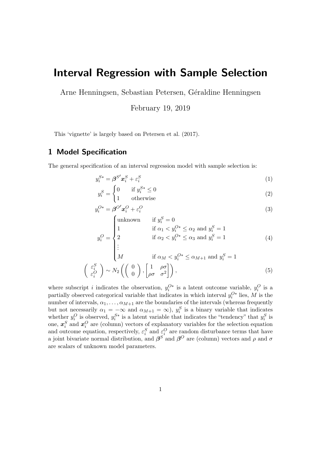# Interval Regression with Sample Selection

Arne Henningsen, Sebastian Petersen, Géraldine Henningsen

February 19, 2019

This 'vignette' is largely based on [Petersen et al.](#page-20-0) [\(2017\)](#page-20-0).

### 1 Model Specification

The general specification of an interval regression model with sample selection is:

$$
y_i^{S*} = \beta^{S'} x_i^S + \varepsilon_i^S \tag{1}
$$

$$
y_i^S = \begin{cases} 0 & \text{if } y_i^{S*} \le 0\\ 1 & \text{otherwise} \end{cases}
$$
 (2)

$$
y_i^{O*} = \beta^{O'} x_i^O + \varepsilon_i^O \tag{3}
$$

$$
y_i^O = \begin{cases} \text{unknown} & \text{if } y_i^S = 0\\ 1 & \text{if } \alpha_1 < y_i^{O*} \le \alpha_2 \text{ and } y_i^S = 1\\ 2 & \text{if } \alpha_2 < y_i^{O*} \le \alpha_3 \text{ and } y_i^S = 1 \end{cases} \tag{4}
$$

$$
\begin{cases}\n\vdots \\
M & \text{if } \alpha_M < y_i^{O*} \le \alpha_{M+1} \text{ and } y_i^S = 1 \\
\left(\begin{array}{c} \varepsilon_i^S \\ \varepsilon_i^O \end{array}\right) \sim N_2\left(\left(\begin{array}{c} 0 \\ 0 \end{array}\right), \left[\begin{array}{cc} 1 & \rho\sigma \\ \rho\sigma & \sigma^2 \end{array}\right]\right),\n\end{cases} \tag{5}
$$

where subscript *i* indicates the observation,  $y_i^{O*}$  is a latent outcome variable,  $y_i^O$  is a partially observed categorical variable that indicates in which interval  $y_i^{O*}$  lies, M is the number of intervals,  $\alpha_1, \ldots, \alpha_{M+1}$  are the boundaries of the intervals (whereas frequently but not necessarily  $\alpha_1 = -\infty$  and  $\alpha_{M+1} = \infty$ ),  $y_i^S$  is a binary variable that indicates whether  $y_i^O$  is observed,  $y_i^{S*}$  is a latent variable that indicates the "tendency" that  $y_i^S$  is one,  $x_i^S$  and  $x_i^O$  are (column) vectors of explanatory variables for the selection equation and outcome equation, respectively,  $\varepsilon_i^S$  and  $\varepsilon_i^O$  are random disturbance terms that have a joint bivariate normal distribution, and  $\beta^S$  and  $\beta^O$  are (column) vectors and  $\rho$  and  $\sigma$ are scalars of unknown model parameters.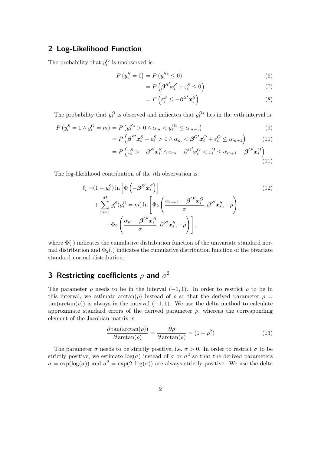### 2 Log-Likelihood Function

The probability that  $y_i^O$  is unobserved is:

$$
P(y_i^S = 0) = P(y_i^{S*} \le 0)
$$
\n(6)

$$
=P\left(\beta^{S'}\mathbf{x}_{i}^{S}+\varepsilon_{i}^{S}\leq0\right)
$$
\n<sup>(7)</sup>

$$
=P\left(\varepsilon_i^S \le -\beta^{S'} \boldsymbol{x}_i^S\right) \tag{8}
$$

The probability that  $y_i^O$  is observed and indicates that  $y_i^{O*}$  lies in the mth interval is:

$$
P(y_i^S = 1 \land y_i^O = m) = P(y_i^{S*} > 0 \land \alpha_m < y_i^{O*} \le \alpha_{m+1})
$$
\n(9)

$$
=P\left(\boldsymbol{\beta}^{S'}\boldsymbol{x}_{i}^{S}+\varepsilon_{i}^{S}>0 \wedge \alpha_{m}<\boldsymbol{\beta}^{O'}\boldsymbol{x}_{i}^{O}+\varepsilon_{i}^{O}\leq \alpha_{m+1}\right) \tag{10}
$$

$$
=P\left(\varepsilon_i^S>-\boldsymbol{\beta}^{S'}\boldsymbol{x}_i^S\wedge\alpha_m-\boldsymbol{\beta}^{O'}\boldsymbol{x}_i^O<\varepsilon_i^O\leq\alpha_{m+1}-\boldsymbol{\beta}^{O'}\boldsymbol{x}_i^O\right) \tag{11}
$$

The log-likelihood contribution of the ith observation is:

$$
\ell_i = (1 - y_i^S) \ln \left[ \Phi \left( -\beta^{S'} \mathbf{x}_i^S \right) \right]
$$
\n
$$
+ \sum_{m=1}^M y_i^S (y_i^O = m) \ln \left[ \Phi_2 \left( \frac{\alpha_{m+1} - \beta^{O'} \mathbf{x}_i^O}{\sigma}, \beta^{S'} \mathbf{x}_i^S, -\rho \right) -\Phi_2 \left( \frac{\alpha_m - \beta^{O'} \mathbf{x}_i^O}{\sigma}, \beta^{S'} \mathbf{x}_i^S, -\rho \right) \right],
$$
\n(12)

where  $\Phi(.)$  indicates the cumulative distribution function of the univariate standard normal distribution and  $\Phi_2(.)$  indicates the cumulative distribution function of the bivariate standard normal distribution.

### 3 Restricting coefficients  $\rho$  and  $\sigma^2$

The parameter  $\rho$  needs to be in the interval (−1, 1). In order to restrict  $\rho$  to be in this interval, we estimate  $arctan(\rho)$  instead of  $\rho$  so that the derived parameter  $\rho =$  $tan(arctan(\rho))$  is always in the interval  $(-1, 1)$ . We use the delta method to calculate approximate standard errors of the derived parameter  $\rho$ , whereas the corresponding element of the Jacobian matrix is:

$$
\frac{\partial \tan(\arctan(\rho))}{\partial \arctan(\rho)} = \frac{\partial \rho}{\partial \arctan(\rho)} = (1 + \rho^2)
$$
\n(13)

The parameter  $\sigma$  needs to be strictly positive, i.e.  $\sigma > 0$ . In order to restrict  $\sigma$  to be strictly positive, we estimate  $log(\sigma)$  instead of  $\sigma$  or  $\sigma^2$  so that the derived parameters  $\sigma = \exp(\log(\sigma))$  and  $\sigma^2 = \exp(2 \log(\sigma))$  are always strictly positive. We use the delta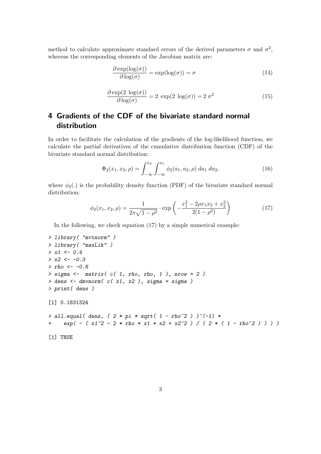method to calculate approximate standard errors of the derived parameters  $\sigma$  and  $\sigma^2$ , whereas the corresponding elements of the Jacobian matrix are:

$$
\frac{\partial \exp(\log(\sigma))}{\partial \log(\sigma)} = \exp(\log(\sigma)) = \sigma \tag{14}
$$

$$
\frac{\partial \exp(2 \log(\sigma))}{\partial \log(\sigma)} = 2 \exp(2 \log(\sigma)) = 2 \sigma^2 \tag{15}
$$

### <span id="page-2-1"></span>4 Gradients of the CDF of the bivariate standard normal distribution

In order to facilitate the calculation of the gradients of the log-likelihood function, we calculate the partial derivatives of the cumulative distribution function (CDF) of the bivariate standard normal distribution:

<span id="page-2-2"></span><span id="page-2-0"></span>
$$
\Phi_2(x_1, x_2, \rho) = \int_{-\infty}^{x_2} \int_{-\infty}^{x_1} \phi_2(a_1, a_2, \rho) \, da_1 \, da_2,\tag{16}
$$

where  $\phi_2(.)$  is the probability density function (PDF) of the bivariate standard normal distribution:

$$
\phi_2(x_1, x_2, \rho) = \frac{1}{2\pi\sqrt{1 - \rho^2}} \cdot \exp\left(-\frac{x_1^2 - 2\rho x_1 x_2 + x_2^2}{2(1 - \rho^2)}\right)
$$
(17)

In the following, we check equation [\(17\)](#page-2-0) by a simple numerical example:

```
> library( "mvtnorm" )
> library( "maxLik" )
> x1 < -0.4> x2 < -0.3>rho <- -0.6 \,> sigma \leq matrix( c( 1, rho, rho, 1), nrow = 2)
> dens <- dmvnorm( c( x1, x2 ), sigma = sigma )
> print( dens )
[1] 0.1831324
> all.equal( dens, ( 2 * pi * sqrt( 1 - rho^2 ) )^(-1) *+ exp( - ( x1^2 - 2 * rho * x1 * x2 + x2^2 ) / ( 2 * ( 1 - rho^2 ) ) ) )
[1] TRUE
```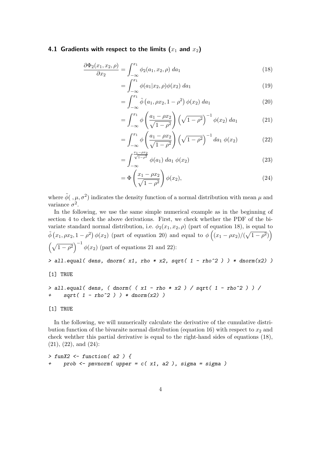#### 4.1 Gradients with respect to the limits  $(x_1$  and  $x_2)$

$$
\frac{\partial \Phi_2(x_1, x_2, \rho)}{\partial x_2} = \int_{-\infty}^{x_1} \phi_2(a_1, x_2, \rho) \, da_1 \tag{18}
$$

<span id="page-3-0"></span>
$$
= \int_{-\infty}^{x_1} \phi(a_1 | x_2, \rho) \phi(x_2) \, da_1 \tag{19}
$$

<span id="page-3-1"></span>
$$
= \int_{-\infty}^{x_1} \tilde{\phi}\left(a_1, \rho x_2, 1 - \rho^2\right) \phi(x_2) \, da_1 \tag{20}
$$

<span id="page-3-2"></span>
$$
= \int_{-\infty}^{x_1} \phi \left( \frac{a_1 - \rho x_2}{\sqrt{1 - \rho^2}} \right) \left( \sqrt{1 - \rho^2} \right)^{-1} \phi(x_2) \, da_1 \tag{21}
$$

<span id="page-3-3"></span>
$$
= \int_{-\infty}^{x_1} \phi \left( \frac{a_1 - \rho x_2}{\sqrt{1 - \rho^2}} \right) \left( \sqrt{1 - \rho^2} \right)^{-1} da_1 \phi(x_2)
$$
 (22)

$$
= \int_{-\infty}^{\frac{x_1 - \rho x_2}{\sqrt{1 - \rho^2}}} \phi(a_1) \, da_1 \, \phi(x_2) \tag{23}
$$

<span id="page-3-4"></span>
$$
= \Phi\left(\frac{x_1 - \rho x_2}{\sqrt{1 - \rho^2}}\right) \phi(x_2), \tag{24}
$$

where  $\tilde{\phi}(\cdot,\mu,\sigma^2)$  indicates the density function of a normal distribution with mean  $\mu$  and variance  $\sigma^2$ .

In the following, we use the same simple numerical example as in the beginning of section [4](#page-2-1) to check the above derivations. First, we check whether the PDF of the bivariate standard normal distribution, i.e.  $\phi_2(x_1, x_2, \rho)$  (part of equation [18\)](#page-3-0), is equal to  $\tilde{\phi}\left(x_1, \rho x_2, 1-\rho^2\right) \phi(x_2)$  (part of equation [20\)](#page-3-1) and equal to  $\phi\left((x_1-\rho x_2)/(\sqrt{1-\rho^2})\right)$  $\left(\sqrt{1-\rho^2}\right)^{-1} \phi(x_2)$  (part of equations [21](#page-3-2) and [22\)](#page-3-3):  $>$  all.equal( dens, dnorm( x1, rho \* x2, sqrt( 1 - rho^2 ) ) \* dnorm(x2) )

[1] TRUE

```
> all.equal( dens, ( dnorm( ( x1 - rho * x2 ) / sqrt( 1 - rho^2 ) ) /
+ sqrt(1 - rho^2) ) * dnorm(x2) )
```
[1] TRUE

In the following, we will numerically calculate the derivative of the cumulative distri-bution function of the bivaraite normal distribution (equation [16\)](#page-2-2) with respect to  $x_2$  and check wehther this partial derivative is equal to the right-hand sides of equations [\(18\)](#page-3-0), [\(21\)](#page-3-2), [\(22\)](#page-3-3), and [\(24\)](#page-3-4):

```
> funX2 <- function( a2 ) {
+ prob <- pmvnorm( upper = c( x1, a2 ), sigma = sigma )
```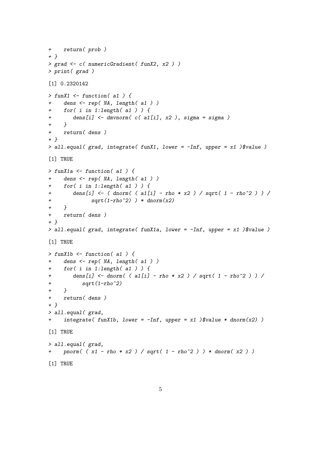```
+ return( prob )
+ }
> grad <- c( numericGradient( funX2, x2 ) )
> print( grad )
[1] 0.2320142
> funX1 \le function( a1) {
+ dens <- rep( NA, length( a1 ) )
+ for( i in 1:length( a1 ) ) {
+ dens[i] <- dmvnorm( c( a1[i], x2 ), sigma = sigma )
+ }
+ return( dens )
+ }
> all.equal( grad, integrate( funX1, lower = -Inf, upper = x1) \text{\$value})
[1] TRUE
> funX1a \le function( a1 ) {
+ dens <- rep( NA, length( a1 ) )
+ for( i in 1:length( a1 ) ) {
+ dens[i] <- ( dnorm( ( a1[i] - rho * x2 ) / sqrt( 1 - rho^2 ) ) /
+ sqrt(1-\text{rho}^2) ) * dnorm(x2)
+ }
+ return( dens )
+ }
> all.equal( grad, integrate( funX1a, lower = -Inf, upper = x1)$value)
[1] TRUE
> funX1b \le function( a1) {
+ dens <- rep( NA, length( a1 ) )
+ for( i in 1:length( a1 ) ) {
+ dens[i] <- dnorm( ( a1[i] - rho * x2 ) / sqrt( 1 - rho^2 ) ) /
+ sqrt(1-\text{rho}^2)+ }
+ return( dens )
+ }
> all.equal( grad,
+ integrate( funX1b, lower = -Inf, upper = x1 )$value * dnorm(x2) )
[1] TRUE
> all.equal( grad,
+ pnorm( (x1 - rho * x2) / sqrt( 1 - rho^2 ) ) * dnorm( x2 ) )
[1] TRUE
```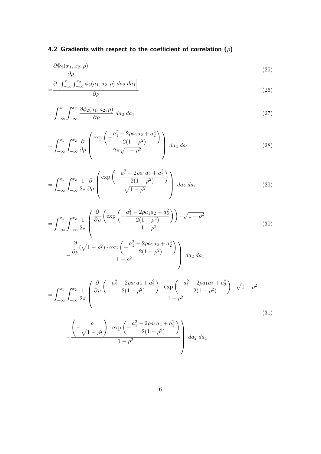# 4.2 Gradients with respect to the coefficient of correlation  $(\rho)$

<span id="page-5-0"></span>
$$
\frac{\partial \Phi_2(x_1, x_2, \rho)}{\partial \rho} \tag{25}
$$

$$
=\frac{\partial\left[\int_{-\infty}^{x_1}\int_{-\infty}^{x_2}\phi_2(a_1,a_2,\rho)\,da_2\,da_1\right]}{\partial\rho}\tag{26}
$$

$$
=\int_{-\infty}^{x_1} \int_{-\infty}^{x_2} \frac{\partial \phi_2(a_1, a_2, \rho)}{\partial \rho} da_2 da_1 \tag{27}
$$

$$
= \int_{-\infty}^{x_1} \int_{-\infty}^{x_2} \frac{\partial}{\partial \rho} \left( \frac{\exp\left(-\frac{a_1^2 - 2\rho a_1 a_2 + a_2^2}{2(1 - \rho^2)}\right)}{2\pi \sqrt{1 - \rho^2}} \right) \, da_2 \, da_1 \tag{28}
$$

$$
= \int_{-\infty}^{x_1} \int_{-\infty}^{x_2} \frac{1}{2\pi} \frac{\partial}{\partial \rho} \left( \frac{\exp\left(-\frac{a_1^2 - 2\rho a_1 a_2 + a_2^2}{2(1 - \rho^2)}\right)}{\sqrt{1 - \rho^2}} \right) \, da_2 \, da_1 \tag{29}
$$

$$
= \int_{-\infty}^{x_1} \int_{-\infty}^{x_2} \frac{1}{2\pi} \left( \frac{\frac{\partial}{\partial \rho} \left( \exp\left( -\frac{a_1^2 - 2\rho a_1 a_2 + a_2^2}{2(1 - \rho^2)} \right) \right) \cdot \sqrt{1 - \rho^2}}{1 - \rho^2} \right) \tag{30}
$$

$$
-\frac{\frac{\partial}{\partial \rho}(\sqrt{1-\rho^2})\cdot \exp\left(-\frac{a_1^2-2\rho a_1 a_2+a_2^2}{2(1-\rho^2)}\right)}{1-\rho^2}\right) da_2 da_1
$$

$$
= \int_{-\infty}^{x_1} \int_{-\infty}^{x_2} \frac{1}{2\pi} \left( \frac{\frac{\partial}{\partial \rho} \left( -\frac{a_1^2 - 2\rho a_1 a_2 + a_2^2}{2(1 - \rho^2)} \right) \cdot \exp\left( -\frac{a_1^2 - 2\rho a_1 a_2 + a_2^2}{2(1 - \rho^2)} \right) \cdot \sqrt{1 - \rho^2}}{1 - \rho^2} \right)
$$
\n
$$
- \frac{\left( -\frac{\rho}{\sqrt{1 - \rho^2}} \right) \cdot \exp\left( -\frac{a_1^2 - 2\rho a_1 a_2 + a_2^2}{2(1 - \rho^2)} \right)}{1 - \rho^2} d a_2 d a_1
$$
\n(31)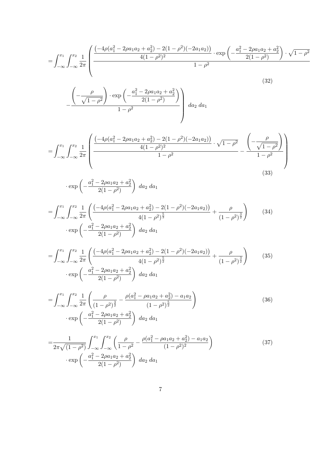$$
= \int_{-\infty}^{x_1} \int_{-\infty}^{x_2} \frac{1}{2\pi} \left( \frac{\left(-4\rho(a_1^2 - 2\rho a_1 a_2 + a_2^2) - 2(1 - \rho^2)(-2a_1 a_2)\right)}{4(1 - \rho^2)^2} \cdot \exp\left(-\frac{a_1^2 - 2\rho a_1 a_2 + a_2^2}{2(1 - \rho^2)}\right) \cdot \sqrt{1 - \rho^2}}{1 - \rho^2} \right)
$$
(32)

$$
-\frac{\left(-\frac{\rho}{\sqrt{1-\rho^2}}\right)\cdot\exp\left(-\frac{a_1^2-2\rho a_1 a_2+a_2^2}{2(1-\rho^2)}\right)}{1-\rho^2}\, da_2 \, da_1
$$

$$
= \int_{-\infty}^{x_1} \int_{-\infty}^{x_2} \frac{1}{2\pi} \left( \frac{\left( -4\rho (a_1^2 - 2\rho a_1 a_2 + a_2^2) - 2(1 - \rho^2)(-2a_1 a_2) \right)}{4(1 - \rho^2)^2} \cdot \sqrt{1 - \rho^2} - \frac{\left( -\frac{\rho}{\sqrt{1 - \rho^2}} \right)}{1 - \rho^2} \right)
$$
\n(33)

$$
\cdot \exp\left(-\frac{a_1^2 - 2\rho a_1 a_2 + a_2^2}{2(1-\rho^2)}\right) \, da_2 \, da_1
$$

$$
= \int_{-\infty}^{x_1} \int_{-\infty}^{x_2} \frac{1}{2\pi} \left( \frac{\left( -4\rho (a_1^2 - 2\rho a_1 a_2 + a_2^2) - 2(1 - \rho^2)(-2a_1 a_2) \right)}{4(1 - \rho^2)^{\frac{5}{3}}} + \frac{\rho}{(1 - \rho^2)^{\frac{3}{2}}} \right) \tag{34}
$$
  

$$
\cdot \exp \left( -\frac{a_1^2 - 2\rho a_1 a_2 + a_2^2}{2(1 - \rho^2)} \right) \, da_2 \, da_1
$$

$$
= \int_{-\infty}^{x_1} \int_{-\infty}^{x_2} \frac{1}{2\pi} \left( \frac{\left(-4\rho(a_1^2 - 2\rho a_1 a_2 + a_2^2) - 2(1 - \rho^2)(-2a_1 a_2)\right)}{4(1 - \rho^2)^{\frac{5}{2}}} + \frac{\rho}{(1 - \rho^2)^{\frac{3}{2}}} \right) \tag{35}
$$

$$
\cdot \exp\left(-\frac{a_1^2 - 2\rho a_1 a_2 + a_2^2}{2(1 - \rho^2)}\right) \, da_2 \, da_1
$$

$$
= \int_{-\infty}^{x_1} \int_{-\infty}^{x_2} \frac{1}{2\pi} \left( \frac{\rho}{(1-\rho^2)^{\frac{3}{2}}} - \frac{\rho(a_1^2 - \rho a_1 a_2 + a_2^2) - a_1 a_2}{(1-\rho^2)^{\frac{5}{2}}} \right) \cdot \exp\left( -\frac{a_1^2 - 2\rho a_1 a_2 + a_2^2}{2(1-\rho^2)} \right) \, da_2 \, da_1 \tag{36}
$$

$$
=\frac{1}{2\pi\sqrt{(1-\rho^2)}}\int_{-\infty}^{x_1}\int_{-\infty}^{x_2}\left(\frac{\rho}{1-\rho^2}-\frac{\rho(a_1^2-\rho a_1a_2+a_2^2)-a_1a_2}{(1-\rho^2)^2}\right)
$$
  
 
$$
\cdot \exp\left(-\frac{a_1^2-2\rho a_1a_2+a_2^2}{2(1-\rho^2)}\right) \, da_2 \, da_1 \tag{37}
$$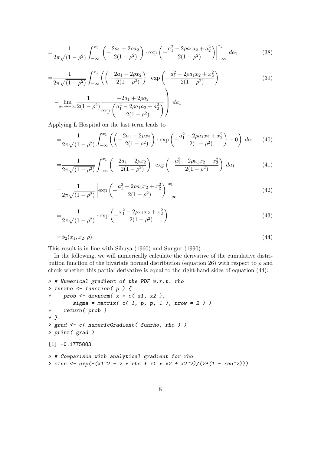$$
=\frac{1}{2\pi\sqrt{(1-\rho^2)}}\int_{-\infty}^{x_1}\left|\left(-\frac{2a_1-2\rho a_2}{2(1-\rho^2)}\right)\cdot\exp\left(-\frac{a_1^2-2\rho a_1a_2+a_2^2}{2(1-\rho^2)}\right)\right|_{-\infty}^{x_2}da_1\tag{38}
$$

$$
=\frac{1}{2\pi\sqrt{(1-\rho^2)}}\int_{-\infty}^{x_1}\left(\left(-\frac{2a_1-2\rho x_2}{2(1-\rho^2)}\right)\cdot\exp\left(-\frac{a_1^2-2\rho a_1x_2+x_2^2}{2(1-\rho^2)}\right)\right)
$$
  

$$
-\lim_{a_2\to-\infty}\frac{1}{2(1-\rho^2)}\frac{-2a_1+2\rho a_2}{\exp\left(\frac{a_1^2-2\rho a_1a_2+a_2^2}{2(1-\rho^2)}\right)}\right)da_1
$$
(39)

Applying L'Hospital on the last term leads to

$$
=\frac{1}{2\pi\sqrt{(1-\rho^2)}}\int_{-\infty}^{x_1}\left(\left(-\frac{2a_1-2\rho x_2}{2(1-\rho^2)}\right)\cdot\exp\left(-\frac{a_1^2-2\rho a_1x_2+x_2^2}{2(1-\rho^2)}\right)-0\right)\,da_1\qquad(40)
$$

$$
=\frac{1}{2\pi\sqrt{(1-\rho^2)}}\int_{-\infty}^{x_1}\left(-\frac{2a_1-2\rho x_2}{2(1-\rho^2)}\right)\cdot\exp\left(-\frac{a_1^2-2\rho a_1x_2+x_2^2}{2(1-\rho^2)}\right)da_1\tag{41}
$$

$$
=\frac{1}{2\pi\sqrt{(1-\rho^2)}}\left|\exp\left(-\frac{a_1^2-2\rho a_1x_2+x_2^2}{2(1-\rho^2)}\right)\right|_{-\infty}^{x_1}
$$
(42)

$$
=\frac{1}{2\pi\sqrt{(1-\rho^2)}}\cdot\exp\left(-\frac{x_1^2-2\rho x_1x_2+x_2^2}{2(1-\rho^2)}\right)
$$
(43)

<span id="page-7-0"></span>
$$
=\phi_2(x_1, x_2, \rho) \tag{44}
$$

This result is in line with [Sibuya](#page-21-0) [\(1960\)](#page-21-0) and [Sungur](#page-21-1) [\(1990\)](#page-21-1).

In the following, we will numerically calculate the derivative of the cumulative distri-bution function of the bivariate normal distribution (equation [26\)](#page-5-0) with respect to  $\rho$  and check whether this partial derivative is equal to the right-hand sides of equation [\(44\)](#page-7-0):

```
> # Numerical gradient of the PDF w.r.t. rho
> funrho <- function( p ) {
+ prob \leq dmvnorm( x = c(x1, x2),
+ signa = matrix(C(1, p, p, 1), nrow = 2))
+ return( prob )
+ }
> grad <- c( numericGradient( funrho, rho ) )
> print( grad )
[1] -0.1775883
> # Comparison with analytical gradient for rho
> efun <- exp(-(x1^2 - 2 * rho * x1 * x2 + x2^2)/(2*(1 - rho^2)))
```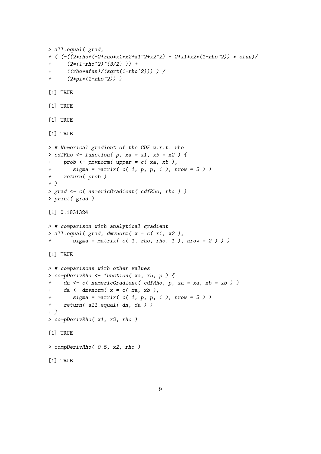```
> all.equal( grad,
+ ( (-((2*rho*(-2*rho*x1*x2+x1^2+x2^2) - 2*x1*x2*(1-rho^2)) * efun)/
+ (2*(1-rho^2)^{(3/2)}) ++ ((rho*efun)/(sqrt(1-rho^2))) ) /
+ (2*pi*(1-rho^2)) )
[1] TRUE
[1] TRUE
[1] TRUE
[1] TRUE
> # Numerical gradient of the CDF w.r.t. rho
> cdfRho \leftarrow function( p, xa = x1, xb = x2 ) {
+ prob <- pmvnorm( upper = c( xa, xb ),
+ sigma = matrix( c( 1, p, p, 1), nrow = 2 ) )
+ return( prob )
+ }
> grad <- c( numericGradient( cdfRho, rho ) )
> print( grad )
[1] 0.1831324
> # comparison with analytical gradient
> all.equal( grad, dmvnorm( x = c(x1, x2),
+ sigma = matrix( c( 1, rho, rho, 1), nrow = 2 ) ) )
[1] TRUE
> # comparisons with other values
> compDerivRho <- function( xa, xb, p ) {
+ dn <- c( numericGradient( cdfRho, p, xa = xa, xb = xb ) )
+ da <- dmvnorm(x = c(xa, xb),
+ sigma = matrix( c( 1, p, p, 1), nrow = 2 ) )
+ return( all.equal( dn, da ) )
+ }
> compDerivRho( x1, x2, rho )
[1] TRUE
> compDerivRho( 0.5, x2, rho )
[1] TRUE
```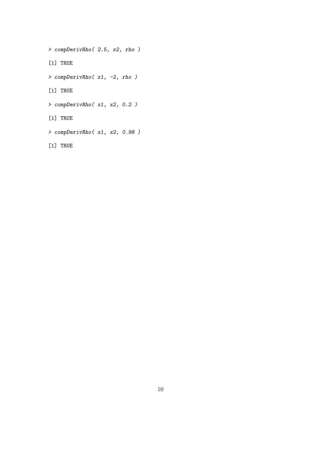> compDerivRho( 2.5, x2, rho ) [1] TRUE > compDerivRho( x1, -2, rho ) [1] TRUE > compDerivRho( x1, x2, 0.2 ) [1] TRUE > compDerivRho( x1, x2, 0.98 )

[1] TRUE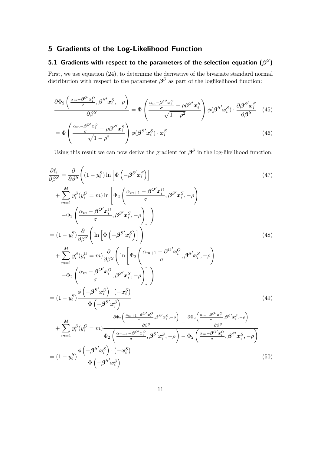# 5 Gradients of the Log-Likelihood Function

### 5.1 Gradients with respect to the parameters of the selection equation  $(\beta^S)$

First, we use equation [\(24\)](#page-3-4), to determine the derivative of the bivariate standard normal distribution with respect to the parameter  $\beta^S$  as part of the loglikelihood function:

$$
\frac{\partial \Phi_2 \left( \frac{\alpha_m - \beta^{O'} x_i^O}{\sigma}, \beta^{S'} x_i^S, -\rho \right)}{\partial \beta^S} = \Phi \left( \frac{\frac{\alpha_m - \beta^{O'} x_i^O}{\sigma} - \rho \beta^{S'} x_i^S}{\sqrt{1 - \rho^2}} \right) \phi(\beta^{S'} x_i^S) \cdot \frac{\partial \beta^{S'} x_i^S}{\partial \beta^S} \tag{45}
$$

$$
= \Phi \left( \frac{\frac{\alpha_m - \beta}{\sigma} x_i}{\sqrt{1 - \rho^2}} + \rho \beta^{S'} x_i^S \right) \phi(\beta^{S'} x_i^S) \cdot x_i^S \tag{46}
$$

Using this result we can now derive the gradient for  $\beta^S$  in the log-likelihood function:

$$
\frac{\partial \ell_{i}}{\partial \beta^{S}} = \frac{\partial}{\partial \beta^{S}} \left( (1 - y_{i}^{S}) \ln \left[ \Phi \left( -\beta^{S'} x_{i}^{S} \right) \right] \right)
$$
\n
$$
+ \sum_{m=1}^{M} y_{i}^{S} (y_{i}^{O} = m) \ln \left[ \Phi_{2} \left( \frac{\alpha_{m+1} - \beta^{O'} x_{i}^{O}}{\sigma}, \beta^{S'} x_{i}^{S}, -\rho \right) \right]
$$
\n
$$
- \Phi_{2} \left( \frac{\alpha_{m} - \beta^{O'} x_{i}^{O}}{\sigma}, \beta^{S'} x_{i}^{S}, -\rho \right) \right]
$$
\n
$$
= (1 - y_{i}^{S}) \frac{\partial}{\partial \beta^{S}} \left( \ln \left[ \Phi \left( -\beta^{S'} x_{i}^{S} \right) \right] \right)
$$
\n
$$
+ \sum_{m=1}^{M} y_{i}^{S} (y_{i}^{O} = m) \frac{\partial}{\partial \beta^{S}} \left( \ln \left[ \Phi_{2} \left( \frac{\alpha_{m+1} - \beta^{O'} x_{i}^{O}}{\sigma}, \beta^{S'} x_{i}^{S}, -\rho \right) \right] - \Phi_{2} \left( \frac{\alpha_{m} - \beta^{O'} x_{i}^{O}}{\sigma}, \beta^{S'} x_{i}^{S}, -\rho \right) \right]
$$
\n
$$
= (1 - y_{i}^{S}) \frac{\phi \left( -\beta^{S'} x_{i}^{S} \right) \cdot (-x_{i}^{S})}{\Phi \left( -\beta^{S'} x_{i}^{S} \right)}
$$
\n
$$
+ \sum_{m=1}^{M} y_{i}^{S} (y_{i}^{O} = m) \frac{\partial \Phi_{2} \left( \frac{\alpha_{m+1} - \beta^{O'} x_{i}^{O}}{\sigma}, \beta^{S'} x_{i}^{S}, -\rho \right)}{\partial \beta^{S}} - \Phi_{2} \left( \frac{\alpha_{m} - \beta^{O'} x_{i}^{O}}{\sigma}, \beta^{S'} x_{i}^{S}, -\rho \right)}
$$
\n
$$
= (1 - y_{i}^{S}) \frac{\phi \left( -\beta^{S'} x_{i}^{S} \right) \cdot (-x_{i}^{S})}{\Phi \left( -\beta^{S'} x_{i}^{
$$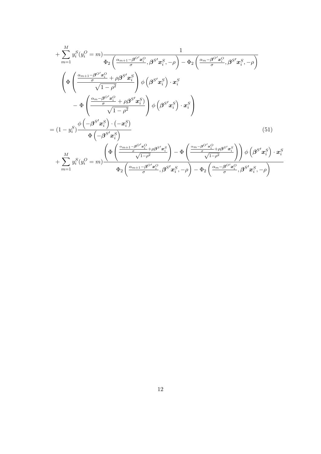$$
+\sum_{m=1}^{M} y_i^S (y_i^O = m) \frac{1}{\Phi_2 \left(\frac{\alpha_{m+1} - \beta^{O'} x_i^O}{\sigma}, \beta^{S'} x_i^S, -\rho\right) - \Phi_2 \left(\frac{\alpha_{m} - \beta^{O'} x_i^O}{\sigma}, \beta^{S'} x_i^S, -\rho\right)}
$$
\n
$$
\left(\Phi \left(\frac{\frac{\alpha_{m+1} - \beta^{O'} x_i^O}{\sigma} + \rho \beta^{S'} x_i^S}{\sqrt{1 - \rho^2}}\right) \phi \left(\beta^{S'} x_i^S\right) \cdot x_i^S - \Phi \left(\frac{\frac{\alpha_{m} - \beta^{O'} x_i^O}{\sigma} + \rho \beta^{S'} x_i^S}{\sqrt{1 - \rho^2}}\right) \phi \left(\beta^{S'} x_i^S\right) \cdot x_i^S\right)
$$
\n
$$
= (1 - y_i^S) \frac{\phi \left(-\beta^{S'} x_i^S\right) \cdot \left(-x_i^S\right)}{\Phi \left(-\beta^{S'} x_i^S\right)}
$$
\n
$$
\Phi \left(\frac{\alpha_{m+1} - \beta^{O'} x_i^O}{\sqrt{1 - \rho^2}}\right) - \Phi \left(\frac{\alpha_{m} - \beta^{O'} x_i^O}{\sqrt{1 - \rho^2}}\right) \phi \left(\beta^{S'} x_i^S\right) \cdot x_i^S + \sum_{m=1}^{M} y_i^S (y_i^O = m) \frac{\left(\Phi \left(\frac{\alpha_{m+1} - \beta^{O'} x_i^O}{\sqrt{1 - \rho^2}}, \beta^{S'} x_i^S, -\rho\right) - \Phi_2 \left(\frac{\alpha_{m} - \beta^{O'} x_i^O}{\sigma}, \beta^{S'} x_i^S, -\rho\right)\right)}{\Phi_2 \left(\frac{\alpha_{m+1} - \beta^{O'} x_i^O}{\sigma}, \beta^{S'} x_i^S, -\rho\right) - \Phi_2 \left(\frac{\alpha_{m} - \beta^{O'} x_i^O}{\sigma}, \beta^{S'} x_i^S, -\rho\right)}
$$
\n(51)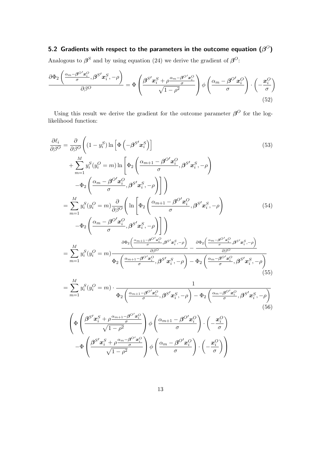5.2 Gradients with respect to the parameters in the outcome equation  $(\beta^O)$ Analogous to  $\beta^S$  and by using equation [\(24\)](#page-3-4) we derive the gradient of  $\beta^O$ :

$$
\frac{\partial \Phi_2 \left( \frac{\alpha_m - \beta^{O'} x_i^O}{\sigma}, \beta^{S'} x_i^S, -\rho \right)}{\partial \beta^O} = \Phi \left( \frac{\beta^{S'} x_i^S + \rho \frac{\alpha_m - \beta^{O'} x_i^O}{\sigma}}{\sqrt{1 - \rho^2}} \right) \phi \left( \frac{\alpha_m - \beta^{O'} x_i^O}{\sigma} \right) \cdot \left( -\frac{x_i^O}{\sigma} \right) \tag{52}
$$

Using this result we derive the gradient for the outcome parameter  $\beta^0$  for the loglikelihood function:

$$
\frac{\partial \ell_i}{\partial \beta^O} = \frac{\partial}{\partial \beta^O} \left( (1 - y_i^S) \ln \left[ \Phi \left( -\beta^{S'} \mathbf{x}_i^S \right) \right] \right)
$$
\n
$$
+ \sum_{m=1}^M y_i^S (y_i^O = m) \ln \left[ \Phi_2 \left( \frac{\alpha_{m+1} - \beta^{O'} \mathbf{x}_i^O}{\sigma}, \beta^{S'} \mathbf{x}_i^S, -\rho \right) \right]
$$
\n
$$
- \Phi_2 \left( \frac{\alpha_m - \beta^{O'} \mathbf{x}_i^O}{\sigma}, \beta^{S'} \mathbf{x}_i^S, -\rho \right) \right]
$$
\n
$$
= \sum_{m=1}^M y_i^S (y_i^O = m) \frac{\partial}{\partial \beta^O} \left( \ln \left[ \Phi_2 \left( \frac{\alpha_{m+1} - \beta^{O'} \mathbf{x}_i^O}{\sigma}, \beta^{S'} \mathbf{x}_i^S, -\rho \right) \right] - \Phi_2 \left( \frac{\alpha_m - \beta^{O'} \mathbf{x}_i^O}{\sigma}, \beta^{S'} \mathbf{x}_i^S, -\rho \right) \right]
$$
\n
$$
= \Phi_2 \left( \frac{\alpha_m - \beta^{O'} \mathbf{x}_i^O}{\sigma}, \beta^{S'} \mathbf{x}_i^S, -\rho \right) \right]
$$
\n
$$
= \sum_{m=1}^M y_i^S (y_i^O = m) \frac{\partial \Phi_2 \left( \frac{\alpha_{m+1} - \beta^{O'} \mathbf{x}_i^O}{\beta \beta^O}, \beta^{S'} \mathbf{x}_i^S, -\rho \right)}{- \beta \beta^O} - \frac{\partial \Phi_2 \left( \frac{\alpha_m - \beta^{O'} \mathbf{x}_i^O}{\sigma}, \beta^{S'} \mathbf{x}_i^S, -\rho \right)}{\beta \beta^O}
$$
\n
$$
= \sum_{m=1}^M y_i^S (y_i^O = m) \frac{\partial \Phi_2 \left( \frac{\alpha_{m+1} - \beta^{O'} \mathbf{x}_i^O}{\sigma}, \beta^{S'} \mathbf{x}_i^S, -\rho \right) - \Phi_2 \left( \frac{\alpha_m - \beta^{O'} \mathbf{x}_i^O}{\sigma}, \beta^{S'} \mathbf{x}_i^S, -\rho \right)}{\beta \beta
$$

$$
= \sum_{m=1} y_i^S(y_i^O = m) \cdot \frac{1}{\Phi_2\left(\frac{\alpha_{m+1} - \beta^O' \mathbf{x}_i^O}{\sigma}, \beta^{S'} \mathbf{x}_i^S, -\rho\right) - \Phi_2\left(\frac{\alpha_m - \beta^{O'} \mathbf{x}_i^O}{\sigma}, \beta^{S'} \mathbf{x}_i^S, -\rho\right)}
$$
(56)

$$
\begin{aligned}&\left(\Phi\left(\frac{\boldsymbol{\beta}^{S'}\boldsymbol{x}_{i}^{S}+\rho\frac{\alpha_{m+1}-\boldsymbol{\beta}^{O'}\boldsymbol{x}_{i}^{O}}{\sigma}}{\sqrt{1-\rho^{2}}}\right)\phi\left(\frac{\alpha_{m+1}-\boldsymbol{\beta}^{O'}\boldsymbol{x}_{i}^{O}}{\sigma}\right)\cdot\left(-\frac{\boldsymbol{x}_{i}^{O}}{\sigma}\right)\\&-\Phi\left(\frac{\boldsymbol{\beta}^{S'}\boldsymbol{x}_{i}^{S}+\rho\frac{\alpha_{m}-\boldsymbol{\beta}^{O'}\boldsymbol{x}_{i}^{O}}{\sigma}}{\sqrt{1-\rho^{2}}}\right)\phi\left(\frac{\alpha_{m}-\boldsymbol{\beta}^{O'}\boldsymbol{x}_{i}^{O}}{\sigma}\right)\cdot\left(-\frac{\boldsymbol{x}_{i}^{O}}{\sigma}\right)\right)\end{aligned}
$$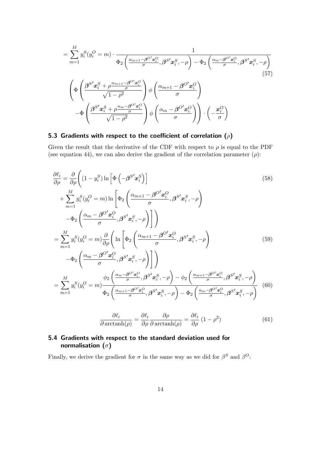$$
= \sum_{m=1}^{M} y_i^S (y_i^O = m) \cdot \frac{1}{\Phi_2 \left( \frac{\alpha_{m+1} - \beta^O' x_i^O}{\sigma}, \beta^{S'} x_i^S, -\rho \right) - \Phi_2 \left( \frac{\alpha_m - \beta^{O'} x_i^O}{\sigma}, \beta^{S'} x_i^S, -\rho \right)}
$$
\n
$$
\left( \Phi \left( \frac{\beta^{S'} x_i^S + \rho \frac{\alpha_{m+1} - \beta^{O'} x_i^O}{\sigma}}{\sqrt{1 - \rho^2}} \right) \phi \left( \frac{\alpha_{m+1} - \beta^{O'} x_i^O}{\sigma} \right) - \Phi \left( \frac{\beta^{S'} x_i^S + \rho \frac{\alpha_m - \beta^{O'} x_i^O}{\sigma}}{\sqrt{1 - \rho^2}} \right) \phi \left( \frac{\alpha_m - \beta^{O'} x_i^O}{\sigma} \right) \right) \cdot \left( -\frac{x_i^O}{\sigma} \right)
$$
\n(57)

### 5.3 Gradients with respect to the coefficient of correlation  $(\rho)$

Given the result that the derivative of the CDF with respect to  $\rho$  is equal to the PDF (see equation [44\)](#page-7-0), we can also derive the gradient of the correlation parameter  $(\rho)$ :

$$
\frac{\partial \ell_i}{\partial \rho} = \frac{\partial}{\partial \rho} \left( (1 - y_i^S) \ln \left[ \Phi \left( -\beta^{S'} x_i^S \right) \right] \right)
$$
\n
$$
+ \sum_{m=1}^M y_i^S (y_i^O = m) \ln \left[ \Phi_2 \left( \frac{\alpha_{m+1} - \beta^{O'} x_i^O}{\sigma}, \beta^{S'} x_i^S, -\rho \right) \right]
$$
\n
$$
- \Phi_2 \left( \frac{\alpha_m - \beta^{O'} x_i^O}{\sigma}, \beta^{S'} x_i^S, -\rho \right) \right]
$$
\n
$$
= \sum_{m=1}^M y_i^S (y_i^O = m) \frac{\partial}{\partial \rho} \left( \ln \left[ \Phi_2 \left( \frac{\alpha_{m+1} - \beta^{O'} x_i^O}{\sigma}, \beta^{S'} x_i^S, -\rho \right) \right] \right)
$$
\n
$$
- \Phi_2 \left( \frac{\alpha_m - \beta^{O'} x_i^O}{\sigma}, \beta^{S'} x_i^S, -\rho \right) \right]
$$
\n
$$
= \sum_{m=1}^M y_i^S (y_i^O = m) \frac{\phi_2 \left( \frac{\alpha_m - \beta^{O'} x_i^O}{\sigma}, \beta^{S'} x_i^S, -\rho \right) - \phi_2 \left( \frac{\alpha_{m+1} - \beta^{O'} x_i^O}{\sigma}, \beta^{S'} x_i^S, -\rho \right)}{\Phi_2 \left( \frac{\alpha_{m+1} - \beta^{O'} x_i^O}{\sigma}, \beta^{S'} x_i^S, -\rho \right) - \Phi_2 \left( \frac{\alpha_m - \beta^{O'} x_i^O}{\sigma}, \beta^{S'} x_i^S, -\rho \right)} \tag{60}
$$

$$
\frac{\partial \ell_i}{\partial \operatorname{arctanh}(\rho)} = \frac{\partial \ell_i}{\partial \rho} \frac{\partial \rho}{\partial \operatorname{arctanh}(\rho)} = \frac{\partial \ell_i}{\partial \rho} (1 - \rho^2)
$$
(61)

#### 5.4 Gradients with respect to the standard deviation used for normalisation  $(\sigma)$

Finally, we derive the gradient for  $\sigma$  in the same way as we did for  $\beta^S$  and  $\beta^O$ :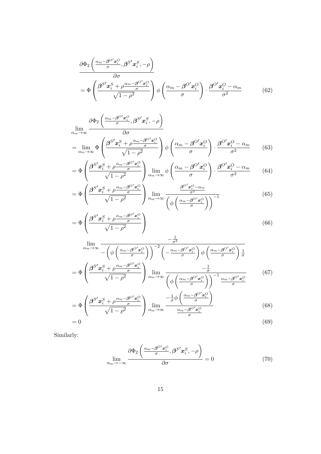$$
\frac{\partial \Phi_2 \left( \frac{\alpha_m - \beta^{\circ} \alpha_i^{\circ}}{\sigma}, \beta^{S'} \alpha_i^S, -\rho \right)}{\partial \sigma} \n= \Phi \left( \frac{\beta^{S'} \alpha_i^S + \rho \frac{\alpha_m - \beta^{\circ} \alpha_i^{\circ}}{\sigma}}{\sqrt{1 - \rho^2}} \right) \phi \left( \frac{\alpha_m - \beta^{\circ} \alpha_i^{\circ}}{\sigma} \right) \cdot \frac{\beta^{\circ} \alpha_i^{\circ} - \alpha_m}{\sigma^2} \tag{62}
$$

$$
\lim_{\alpha_m \to \infty} \frac{\partial \Phi_2 \left( \frac{\alpha_m - \beta^{O'} x_i^O}{\sigma}, \beta^{S'} x_i^S, -\rho \right)}{\partial \sigma}
$$
\n
$$
= \lim_{\alpha_m \to \infty} \Phi \left( \frac{\beta^{S'} x_i^S + \rho \frac{\alpha_m - \beta^{O'} x_i^O}{\sigma}}{\sqrt{1 - \rho^2}} \right) \phi \left( \frac{\alpha_m - \beta^{O'} x_i^O}{\sigma} \right) \cdot \frac{\beta^{O'} x_i^O - \alpha_m}{\sigma^2} \tag{63}
$$

$$
= \Phi \left( \frac{\beta^{S'} x_i^S + \rho \frac{\alpha_m - \beta^{O'} x_i^O}{\sigma}}{\sqrt{1 - \rho^2}} \right) \lim_{\alpha_m \to \infty} \phi \left( \frac{\alpha_m - \beta^{O'} x_i^O}{\sigma} \right) \cdot \frac{\beta^{O'} x_i^O - \alpha_m}{\sigma^2} \tag{64}
$$

$$
= \Phi \left( \frac{\beta^{S'} x_i^S + \rho \frac{\alpha_m - \beta^{O'} x_i^O}{\sigma}}{\sqrt{1 - \rho^2}} \right) \lim_{\alpha_m \to \infty} \frac{\frac{\beta^{O'} x_i^O - \alpha_m}{\sigma^2}}{\left( \phi \left( \frac{\alpha_m - \beta^{O'} x_i^O}{\sigma} \right) \right)^{-1}} \tag{65}
$$

$$
= \Phi \left( \frac{\beta^{S'} x_i^S + \rho^{\alpha_m - \beta^{O'} x_i^O}}{\sqrt{1 - \rho^2}} \right) \tag{66}
$$

$$
\lim_{\alpha_{m}\to\infty} \frac{-\frac{1}{\sigma^{2}}}{-\left(\phi\left(\frac{\alpha_{m}-\beta^{O'}x_{i}^{O}}{\sigma}\right)\right)^{-2}\left(-\frac{\alpha_{m}-\beta^{O'}x_{i}^{O}}{\sigma}\right)\phi\left(\frac{\alpha_{m}-\beta^{O'}x_{i}^{O}}{\sigma}\right)\frac{1}{\sigma}}\n= \Phi\left(\frac{\beta^{S'}x_{i}^{S} + \rho\frac{\alpha_{m}-\beta^{O'}x_{i}^{O}}{\sigma}}{\sqrt{1-\rho^{2}}}\right)\lim_{\alpha_{m}\to\infty} \frac{-\frac{1}{\sigma}}{\left(\phi\left(\frac{\alpha_{m}-\beta^{O'}x_{i}^{O}}{\sigma}\right)\right)^{-1}\frac{\alpha_{m}-\beta^{O'}x_{i}^{O}}{\sigma}}\n\qquad (67)
$$

$$
= \Phi \left( \frac{\beta^{S'} \mathbf{x}_{i}^{S} + \rho \frac{\alpha_{m} - \beta^{O'} \mathbf{x}_{i}^{O}}{\sigma}}{\sqrt{1 - \rho^{2}}} \right) \lim_{\alpha_{m} \to \infty} \frac{-\frac{1}{\sigma} \phi \left( \frac{\alpha_{m} - \beta^{O'} \mathbf{x}_{i}^{O}}{\sigma} \right)}{\frac{\alpha_{m} - \beta^{O'} \mathbf{x}_{i}^{O}}{\sigma}}
$$
(68)  
= 0

Similarly:

$$
\lim_{\alpha_m \to -\infty} \frac{\partial \Phi_2 \left( \frac{\alpha_m - \beta^{O'} x_i^O}{\sigma}, \beta^{S'} x_i^S, -\rho \right)}{\partial \sigma} = 0 \tag{70}
$$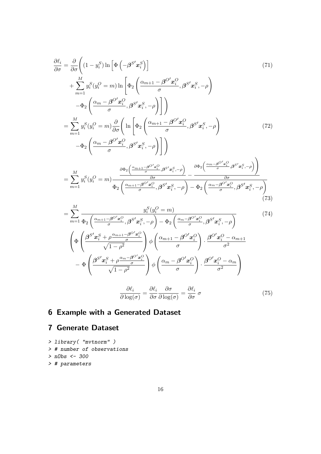$$
\frac{\partial \ell_i}{\partial \sigma} = \frac{\partial}{\partial \sigma} \left( (1 - y_i^S) \ln \left[ \Phi \left( -\beta^{S'} x_i^S \right) \right] \tag{71}
$$
\n
$$
+ \sum_{m=1}^M y_i^S (y_i^O = m) \ln \left[ \Phi_2 \left( \frac{\alpha_{m+1} - \beta^{O'} x_i^O}{\sigma}, \beta^{S'} x_i^S, -\rho \right) \right]
$$
\n
$$
- \Phi_2 \left( \frac{\alpha_m - \beta^{O'} x_i^O}{\sigma}, \beta^{S'} x_i^S, -\rho \right) \right]
$$
\n
$$
= \sum_{m=1}^M y_i^S (y_i^O = m) \frac{\partial}{\partial \sigma} \left( \ln \left[ \Phi_2 \left( \frac{\alpha_{m+1} - \beta^{O'} x_i^O}{\sigma}, \beta^{S'} x_i^S, -\rho \right) \right] \right)
$$
\n
$$
- \Phi_2 \left( \frac{\alpha_m - \beta^{O'} x_i^O}{\sigma}, \beta^{S'} x_i^S, -\rho \right) \right]
$$
\n
$$
= \sum_{m=1}^M y_i^S (y_i^O = m) \frac{\partial \Phi_2 \left( \frac{\alpha_{m+1} - \beta^{O'} x_i^O}{\sigma}, \beta^{S'} x_i^S, -\rho \right)}{\partial \sigma} - \frac{\partial \Phi_2 \left( \frac{\alpha_m - \beta^{O'} x_i^O}{\sigma}, \beta^{S'} x_i^S, -\rho \right)}{\partial \sigma}
$$
\n
$$
= \sum_{m=1}^M y_i^S (y_i^O = m) \frac{\frac{\partial \Phi_2 \left( \frac{\alpha_{m+1} - \beta^{O'} x_i^O}{\sigma}, \beta^{S'} x_i^S, -\rho \right)}{\partial \sigma} - \frac{\partial \Phi_2 \left( \frac{\alpha_m - \beta^{O'} x_i^O}{\sigma}, \beta^{S'} x_i^S, -\rho \right)}{\partial \sigma} \tag{73}
$$

$$
= \sum_{m=1}^{M} \frac{y_i^S(y_i^O = m)}{\Phi_2 \left(\frac{\alpha_{m+1} - \beta^{O'} x_i^O}{\sigma}, \beta^{S'} x_i^S, -\rho\right) - \Phi_2 \left(\frac{\alpha_{m} - \beta^{O'} x_i^O}{\sigma}, \beta^{S'} x_i^S, -\rho\right)}
$$
(74)  

$$
\left(\Phi \left(\frac{\beta^{S'} x_i^S + \rho \frac{\alpha_{m+1} - \beta^{O'} x_i^O}{\sigma}}{\sqrt{1 - \rho^2}}\right) \phi \left(\frac{\alpha_{m+1} - \beta^{O'} x_i^O}{\sigma}\right) \cdot \frac{\beta^{O'} x_i^O - \alpha_{m+1}}{\sigma^2}
$$

$$
- \Phi \left(\frac{\beta^{S'} x_i^S + \rho \frac{\alpha_{m} - \beta^{O'} x_i^O}{\sigma}}{\sqrt{1 - \rho^2}}\right) \phi \left(\frac{\alpha_{m} - \beta^{O'} x_i^O}{\sigma}\right) \cdot \frac{\beta^{O'} x_i^O - \alpha_m}{\sigma^2}
$$

$$
\frac{\partial \ell_i}{\partial \log(\sigma)} = \frac{\partial \ell_i}{\partial \sigma} \frac{\partial \sigma}{\partial \log(\sigma)} = \frac{\partial \ell_i}{\partial \sigma} \sigma
$$
(75)

$$
\partial \log(\sigma) = \partial \sigma \ \partial \log(\sigma) = \partial \sigma
$$

# 6 Example with a Generated Dataset

## 7 Generate Dataset

- > library( "mvtnorm" )
- > # number of observations
- > nObs <- 300
- > # parameters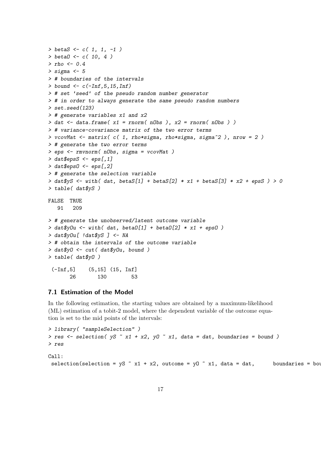```
> \text{beta } S \leftarrow c(1, 1, -1)> \text{beta } 0 \leq c ( 10, 4 )> rho <- 0.4
> sigma <-5> # boundaries of the intervals
> bound \leq c(-\text{Inf.}5, 15, \text{Inf})> # set 'seed' of the pseudo random number generator
> # in order to always generate the same pseudo random numbers
> set.seed(123)
> # generate variables x1 and x2
> dat \le data.frame(x1 = rnorm(nObs), x2 = rnorm(nObs))
> # variance-covariance matrix of the two error terms
> vcovMat <- matrix(c( 1, rho*sigma, rho*sigma, signa^2), nrow = 2)
> # generate the two error terms
> eps <- rmvnorm( nObs, sigma = vcovMat )
> dat$epsS <- eps[,1]
> dat$epsO <- eps[,2]
> # generate the selection variable
> dat$yS <- with( dat, betaS[1] + betaS[2] * x1 + betaS[3] * x2 + epsS ) > 0> table( dat$yS )
FALSE TRUE
   91 209
> # generate the unobserved/latent outcome variable
> dat y0u \leftarrow with( dat, beta0[1] + \text{beta}[2] * x1 + \text{eps0})
> dat$yOu[ !dat$yS ] <- NA
> # obtain the intervals of the outcome variable
> dat$yO <- cut( dat$yOu, bound )
> table( dat$yO )
 (-Inf,5] (5,15] (15, Inf]
       26 130 53
```
#### 7.1 Estimation of the Model

In the following estimation, the starting values are obtained by a maximum-likelihood (ML) estimation of a tobit-2 model, where the dependent variable of the outcome equation is set to the mid points of the intervals:

```
> library( "sampleSelection" )
> res <- selection( yS - x1 + x2, y0 - x1, data = dat, boundaries = bound )
> res
Call:
 selection(selection = yS - x1 + x2, outcome = y0 - x1, data = dat, boundaries = bound
```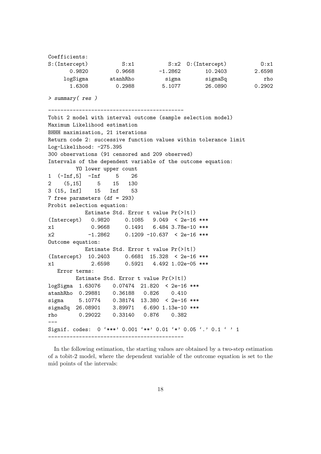| Coefficients:  |          |           |                              |        |
|----------------|----------|-----------|------------------------------|--------|
| S: (Intercept) | S: x1    |           | $S: x2 \quad 0: (Intercept)$ | 0:x1   |
| 0.9820         | 0.9668   | $-1.2862$ | 10.2403                      | 2.6598 |
| logSigma       | atanhRho | sigma     | sigmaSq                      | rho    |
| 1.6308         | 0.2988   | 5.1077    | 26,0890                      | 0.2902 |

> summary( res )

```
--------------------------------------------
Tobit 2 model with interval outcome (sample selection model)
Maximum Likelihood estimation
BHHH maximisation, 21 iterations
Return code 2: successive function values within tolerance limit
Log-Likelihood: -275.395
300 observations (91 censored and 209 observed)
Intervals of the dependent variable of the outcome equation:
        YO lower upper count
1 (-Inf,5] -Inf 5 26
2 (5,15] 5 15 130
3 (15, Inf] 15 Inf 53
7 free parameters (df = 293)
Probit selection equation:
          Estimate Std. Error t value Pr(>|t|)
(Intercept) 0.9820 0.1085 9.049 < 2e-16 ***
x1 0.9668 0.1491 6.484 3.78e-10 ***
x2 -1.2862 0.1209 -10.637 < 2e-16 ***
Outcome equation:
          Estimate Std. Error t value Pr(>|t|)
(Intercept) 10.2403 0.6681 15.328 < 2e-16 ***
x1 2.6598 0.5921 4.492 1.02e-05 ***
  Error terms:
        Estimate Std. Error t value Pr(>|t|)
logSigma 1.63076 0.07474 21.820 < 2e-16 ***
atanhRho 0.29881 0.36188 0.826 0.410
sigma 5.10774 0.38174 13.380 < 2e-16 ***
sigmaSq 26.08901 3.89971 6.690 1.13e-10 ***
rho 0.29022 0.33140 0.876 0.382
Signif. codes: 0 '***' 0.001 '**' 0.01 '*' 0.05 '.' 0.1 ' ' 1
--------------------------------------------
```
In the following estimation, the starting values are obtained by a two-step estimation of a tobit-2 model, where the dependent variable of the outcome equation is set to the mid points of the intervals: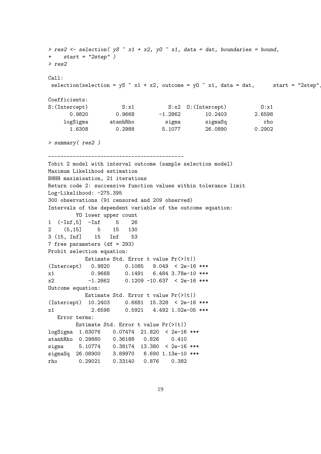```
> res2 <- selection( yS - x1 + x2, yD - x1, data = dat, boundaries = bound,
+ start = "2step" )
> res2
Call:
selection(selection = yS \tilde{x} x1 + x2, outcome = y0 \tilde{x} x1, data = dat, start = "2step"
Coefficients:
S:(Intercept) S:x1 S:x2 O:(Intercept) O:x1
      0.9820 0.9668 -1.2862 10.2403 2.6598
    logSigma atanhRho sigma sigmaSq rho
      1.6308 0.2988 5.1077 26.0890 0.2902
> summary( res2 )
--------------------------------------------
Tobit 2 model with interval outcome (sample selection model)
Maximum Likelihood estimation
BHHH maximisation, 21 iterations
Return code 2: successive function values within tolerance limit
Log-Likelihood: -275.395
300 observations (91 censored and 209 observed)
Intervals of the dependent variable of the outcome equation:
       YO lower upper count
1 (-Inf,5] -Inf 5 26
2 (5,15] 5 15 130
3 (15, Inf] 15 Inf 53
7 free parameters (df = 293)
Probit selection equation:
          Estimate Std. Error t value Pr(>|t|)
(Intercept) 0.9820 0.1085 9.049 < 2e-16 ***
x1 0.9668 0.1491 6.484 3.78e-10 ***
x2 -1.2862 0.1209 -10.637 < 2e-16 ***
Outcome equation:
          Estimate Std. Error t value Pr(>|t|)
(Intercept) 10.2403 0.6681 15.328 < 2e-16 ***
x1 2.6598 0.5921 4.492 1.02e-05 ***
  Error terms:
       Estimate Std. Error t value Pr(>|t|)
logSigma 1.63076 0.07474 21.820 < 2e-16 ***
atanhRho 0.29880 0.36188 0.826 0.410
sigma 5.10774 0.38174 13.380 < 2e-16 ***
sigmaSq 26.08900 3.89970 6.690 1.13e-10 ***
rho 0.29021 0.33140 0.876 0.382
```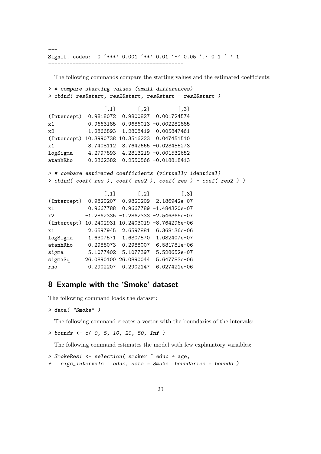Signif. codes: 0 '\*\*\*' 0.001 '\*\*' 0.01 '\*' 0.05 '.' 0.1 ' ' 1

--------------------------------------------

The following commands compare the starting values and the estimated coefficients:

```
> # compare starting values (small differences)
> cbind( res$start, res2$start, res$start - res2$start )
                [,1] [,2] [,3]
(Intercept) 0.9818072 0.9800827 0.001724574
x1 0.9663185 0.9686013 -0.002282885
x2 -1.2866893 -1.2808419 -0.005847461
(Intercept) 10.3990738 10.3516223 0.047451510
x1 3.7408112 3.7642665 -0.023455273
logSigma 4.2797893 4.2813219 -0.001532652
atanhRho 0.2362382 0.2550566 -0.018818413
> # combare estimated coefficients (virtually identical)
> cbind( coef( res ), coef( res2 ), coef( res ) - coef( res2 ) )
                [,1] [,2] [,3]
(Intercept) 0.9820207 0.9820209 -2.186942e-07
x1 0.9667788 0.9667789 -1.484320e-07
x2 -1.2862335 -1.2862333 -2.546365e-07
(Intercept) 10.2402931 10.2403019 -8.764296e-06
x1 2.6597945 2.6597881 6.368136e-06
logSigma 1.6307571 1.6307570 1.082407e-07
atanhRho 0.2988073 0.2988007 6.581781e-06
sigma 5.1077402 5.1077397 5.528652e-07
sigmaSq 26.0890100 26.0890044 5.647783e-06
rho 0.2902207 0.2902147 6.027421e-06
```
#### 8 Example with the 'Smoke' dataset

The following command loads the dataset:

```
> data( "Smoke" )
```
---

The following command creates a vector with the boundaries of the intervals:

```
> bounds <- c( 0, 5, 10, 20, 50, Inf )
```
The following command estimates the model with few explanatory variables:

```
> SmokeRes1 <- selection( smoker ~ educ + age,
+ cigs_intervals ~ educ, data = Smoke, boundaries = bounds )
```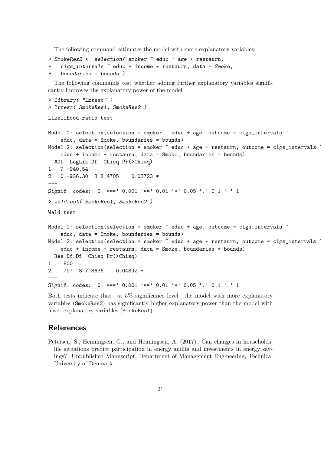The following command estimates the model with more explanatory variables:

```
> SmokeRes2 <- selection( smoker ~ educ + age + restaurn,
   + cigs_intervals ~ educ + income + restaurn, data = Smoke,
    boundaries = bounds)
```
The following commands test whether adding further explanatory variables significantly improves the explanatory power of the model:

```
> library( "lmtest" )
> lrtest( SmokeRes1, SmokeRes2 )
Likelihood ratio test
Model 1: selection(selection = smoker \tilde{ } educ + age, outcome = cigs_intervals \tilde{ }educ, data = Smoke, boundaries = bounds)
Model 2: selection(selection = smoker \tilde{ } educ + age + restaurn, outcome = cigs_intervals \tilde{ }educ + income + restaurn, data = Smoke, boundaries = bounds)
  #Df LogLik Df Chisq Pr(>Chisq)
1 7 -940.54
2 10 -936.30 3 8.4705 0.03723 *
---
Signif. codes: 0 '***' 0.001 '**' 0.01 '*' 0.05 '.' 0.1 ' ' 1
> waldtest( SmokeRes1, SmokeRes2 )
Wald test
Model 1: selection(selection = smoker \tilde{ } educ + age, outcome = cigs_intervals \tilde{ }educ, data = Smoke, boundaries = bounds)
Model 2: selection(selection = smoker \tilde{ } educ + age + restaurn, outcome = cigs_intervals \tilde{ }educ + income + restaurn, data = Smoke, boundaries = bounds)
  Res.Df Df Chisq Pr(>Chisq)
1 800
2 797 3 7.8636 0.04892 *
---
Signif. codes: 0 '***' 0.001 '**' 0.01 '*' 0.05 '.' 0.1 ' ' 1
```
Both tests indicate that—at 5% significance level—the model with more explanatory variables (SmokeRes2) has significantly higher explanatory power than the model with fewer explanatory variables (SmokeRes1).

#### References

<span id="page-20-0"></span>Petersen, S., Henningsen, G., and Henningsen, A. (2017). Can changes in households' life situations predict participation in energy audits and investments in energy savings? Unpublished Manuscript. Department of Management Engineering, Technical University of Denmark.